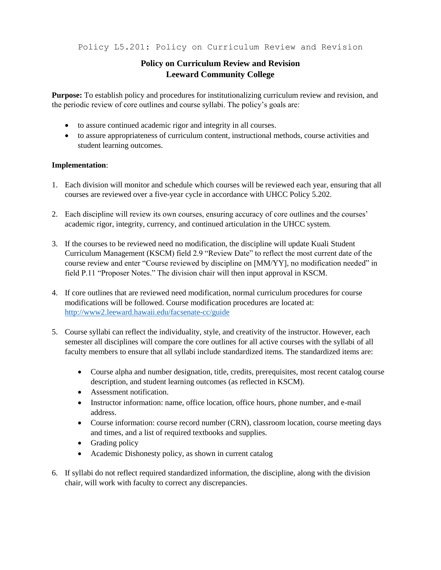Policy L5.201: Policy on Curriculum Review and Revision

## **Policy on Curriculum Review and Revision Leeward Community College**

**Purpose:** To establish policy and procedures for institutionalizing curriculum review and revision, and the periodic review of core outlines and course syllabi. The policy's goals are:

- to assure continued academic rigor and integrity in all courses.
- to assure appropriateness of curriculum content, instructional methods, course activities and student learning outcomes.

## **Implementation**:

- 1. Each division will monitor and schedule which courses will be reviewed each year, ensuring that all courses are reviewed over a five-year cycle in accordance with UHCC Policy 5.202.
- 2. Each discipline will review its own courses, ensuring accuracy of core outlines and the courses' academic rigor, integrity, currency, and continued articulation in the UHCC system.
- 3. If the courses to be reviewed need no modification, the discipline will update Kuali Student Curriculum Management (KSCM) field 2.9 "Review Date" to reflect the most current date of the course review and enter "Course reviewed by discipline on [MM/YY], no modification needed" in field P.11 "Proposer Notes." The division chair will then input approval in KSCM.
- 4. If core outlines that are reviewed need modification, normal curriculum procedures for course modifications will be followed. Course modification procedures are located at: <http://www2.leeward.hawaii.edu/facsenate-cc/guide>
- 5. Course syllabi can reflect the individuality, style, and creativity of the instructor. However, each semester all disciplines will compare the core outlines for all active courses with the syllabi of all faculty members to ensure that all syllabi include standardized items. The standardized items are:
	- Course alpha and number designation, title, credits, prerequisites, most recent catalog course description, and student learning outcomes (as reflected in KSCM).
	- Assessment notification.
	- Instructor information: name, office location, office hours, phone number, and e-mail address.
	- Course information: course record number (CRN), classroom location, course meeting days and times, and a list of required textbooks and supplies.
	- Grading policy
	- Academic Dishonesty policy, as shown in current catalog
- 6. If syllabi do not reflect required standardized information, the discipline, along with the division chair, will work with faculty to correct any discrepancies.